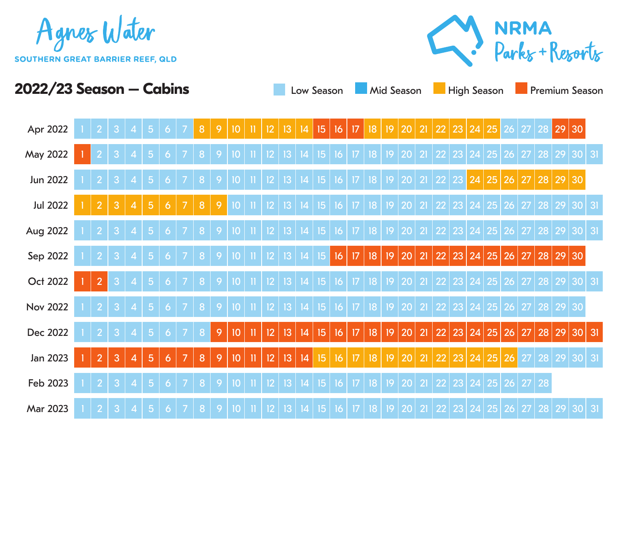



| Apr 2022        |                |   |                |                |              |                | 8                |                |                 |              |                          |    | 14 | 15,              | 16 | 17              | 18 | 9           |           | 21             | 22 | 23 | 24             | 25 | 26 |    | 28           |          | 29 30                 |   |
|-----------------|----------------|---|----------------|----------------|--------------|----------------|------------------|----------------|-----------------|--------------|--------------------------|----|----|------------------|----|-----------------|----|-------------|-----------|----------------|----|----|----------------|----|----|----|--------------|----------|-----------------------|---|
| May 2022        |                |   |                |                |              |                |                  |                |                 |              |                          |    |    | 15               | 16 |                 | 18 | 9           | 20        | $\overline{2}$ |    | 23 |                | 25 | 26 |    | 28           | 29       | 30 31                 |   |
| Jun 2022        |                |   |                |                |              |                |                  |                |                 |              | D                        | 13 | 14 | 15               | 16 | 17              | 18 | 9           | 20        | $\overline{2}$ | 22 | 23 | 24             | 25 | 26 | 27 | 28           | 29 30    |                       |   |
| <b>Jul 2022</b> |                | 3 | $\overline{4}$ | 5              | 6            |                | 8                | 9              | 10              |              | 2                        | 13 | 4  | 15               | 16 | 17              | 18 | 9           | 20        | $\overline{2}$ | 22 | 23 | 24             | 25 | 26 |    | 28           | 29       | 30 31                 |   |
| Aug 2022        |                |   |                | 5              | O            |                | 8                |                | 10              |              | 2                        | 13 | 4  | 15               | 16 | 17              | 8  | 9           | 20        | 21             | 22 | 23 | 24             | 25 | 26 | 27 | 28           | 29       | 30 31                 |   |
| Sep 2022        |                | 3 | 4              | -5             | <sup>6</sup> |                | 8                | 9              | 10              |              | $\overline{2}$           | 3  | 4  | 15               | 16 | 17              | 18 |             | 19 20     | 21             | 22 |    | 23 24 25       |    | 26 | 27 |              | 28 29 30 |                       |   |
| Oct 2022        | $\overline{2}$ | 3 |                | 5              | $\bullet$    |                | 8                | 9              | 10              |              | 12.                      | 3  | 4  | 15 <sub>15</sub> | 16 | 17              | 8  |             | 19 20     | 21             | 22 |    | 23 24 25 26    |    |    | 27 |              |          | $\boxed{28}$ 29 30 31 |   |
| <b>Nov 2022</b> |                | 3 |                | -5             | 6            |                | 8                | -9             | 10 <sup>°</sup> |              | $\mathbf{\Phi}$          | 3  | 4  | 15               | 16 | 17 <sup>°</sup> | 8  |             | 19 20     | 21             | 22 |    | 23 24 25 26    |    |    | 27 |              | 28 29 30 |                       |   |
| Dec 2022        |                | 3 |                | -5             | 6            |                | 8                | $\overline{9}$ | 10              | $\mathbf{I}$ | 12                       | 3  | 4  | 15 <sub>15</sub> | 16 | 17              | 8  |             | 19 20     | 21             | 22 |    | 23 24 25 26    |    |    | 27 |              |          | 28 29 30 31           |   |
| Jan 2023        | $\overline{2}$ | 3 | $\overline{4}$ | $\overline{5}$ | 6            | $\overline{7}$ | 8                | $\overline{9}$ | 10              | $\mathbf{I}$ | 12                       | 13 | 4  | 15 <sup>15</sup> | 16 | 17              | 8  |             | 19 20     | 21             | 22 |    | 23 24 25       |    | 26 | 27 |              |          | 28 29 30 31           |   |
| Feb 2023        |                |   |                |                |              |                |                  |                | 10              |              | 12                       | IЗ | 14 | 15               | 16 | 17              | 8  | 9           | <b>20</b> | $\overline{2}$ | 22 |    | 23 24          | 25 | 26 |    | 28           |          |                       |   |
| Mar 2023        | $\overline{2}$ | 3 | 4              | $\overline{5}$ | 6            |                | $\boldsymbol{8}$ | 9              | 10              |              | $\mathsf{I2}\phantom{0}$ | 3  | 4  | $15\phantom{.0}$ | 16 | 17 <sub>2</sub> | 18 | $ 9\rangle$ | $20\,$    | 21             |    |    | 22 23 24 25 26 |    |    |    | 27   28   29 |          |                       | 3 |

**2022/23 Season – Cabins Low Season Mid Season High Season Premium Season**